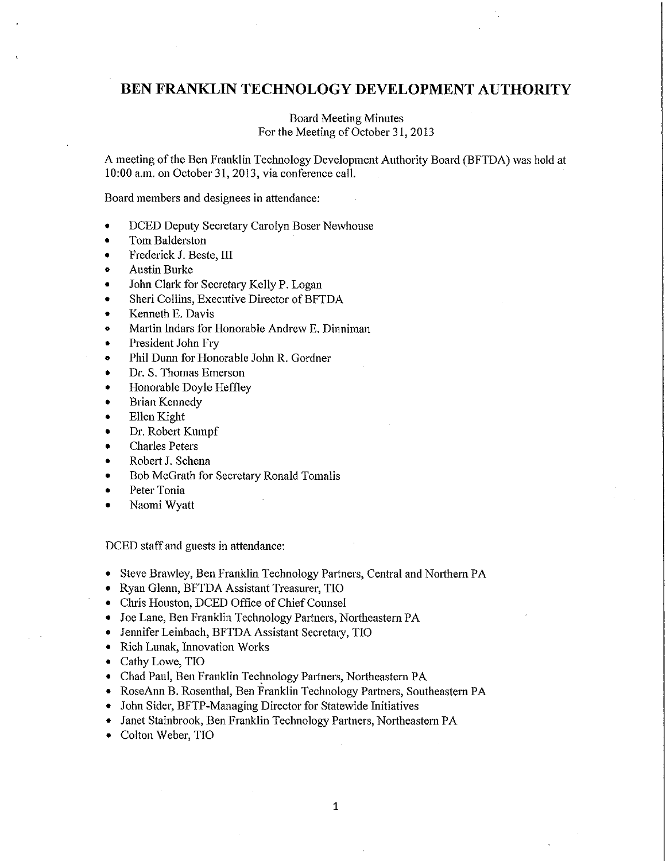# **BEN FRANKLIN TECHNOLOGY DEVELOPMENT AUTHORITY**

## Board Meeting Minutes For the Meeting of October 31, 2013

A meeting of the Ben Franklin Technology Development Authority Board (BFTDA) was held at 10:00 a.m. on October 31, 2013, via conference call.

Board members and designees in attendance:

- DCED Deputy Secretary Carolyn Boser Newhouse
- Tom Balderston
- Frederick J. Beste, III
- Austin Burke
- John Clark for Secretary Kelly P. Logan
- Sheri Collins, Executive Director of BFTDA
- Kenneth E. Davis
- Martin Indars for Honorable Andrew E. Dinniman
- President John Fry
- Phil Dunn for Honorable John R. Gordner
- Dr. S. Thomas Emerson
- Honorable Doyle Heffley
- Brian Kennedy
- Ellen Kight
- Dr. Robert Kumpf
- Charles Peters
- Robert J. Schena
- Bob McGrath for Secretary Ronald Tomalis
- Peter Tonia
- Naomi Wyatt

DCED staff and guests in attendance:

- Steve Brawley, Ben Franklin Technology Partners, Central and Northern PA
- Ryan Glenn, BFTDA Assistant Treasurer, TIO
- Chris Houston, DCED Office of Chief Counsel
- Joe Lane, Ben Franklin Technology Partners, Northeastern PA
- Jennifer Leinbach, BFTDA Assistant Secretary, TIO
- Rich Lunak, Innovation Works
- Cathy Lowe, TIO
- Chad Paul, Ben Franklin Technology Partners, Northeastern PA
- RoseAnn B. Rosenthal, Ben Franklin Technology Partners, Southeastern PA
- John Sider, BFTP-Managing Director for Statewide Initiatives
- Janet Stainbrook, Ben Franklin Technology Partners, Northeastern PA
- Colton Weber, TIO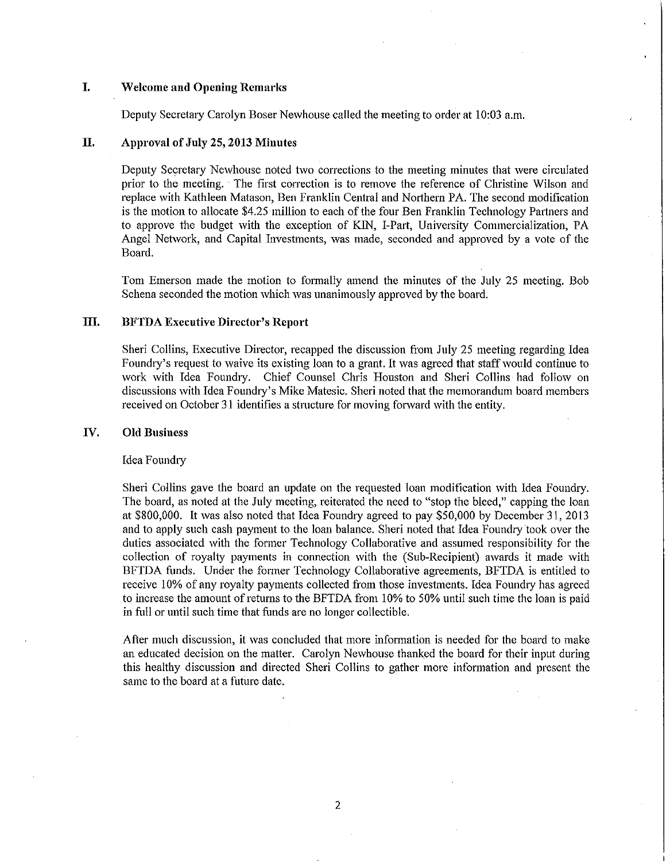## **I. Welcome and Opening Remarks**

Deputy Secretary Carolyn Boser Newhouse called the meeting to order at 10:03 a.m.

## **II. Approval of July 25, 2013 Minutes**

Deputy Secretary Newhouse noted two corrections to the meeting minutes that were circulated prior to the meeting. The first correction is to remove the reference of Christine Wilson and replace with Kathleen Matason, Ben Franklin Central and Northern PA. The second modification is the motion to allocate \$4.25 million to each of the four Ben Franklin Technology Partners and to approve the budget with the exception of KJN, I-Part, University Commercialization, PA Angel Network, and Capital Investments, was made, seconded and approved by a vote of the Board.

Tom Emerson made the motion to formally amend the minutes of the July 25 meeting. Bob Schena seconded the motion which was unanimously approved by the board.

## **III. BFTDA Executive Director's Report**

Sheri Collins, Executive Director, recapped the discussion from July 25 meeting regarding Idea Foundry's request to waive its existing loan to a grant. It was agreed that staff would continue to work with Idea Foundry. Chief Counsel Chris Houston and Sheri Collins had follow on discussions with Idea Foundry's Mike Matesic. Sheri noted that the memorandum board members received on October 31 identifies a structure for moving forward with the entity.

## **IV. Old Business**

#### Idea Foundry

Sheri Collins gave the board an update on the requested loan modification with Idea Foundry. The board, as noted at the July meeting, reiterated the need to "stop the bleed," capping the loan at \$800,000. It was also noted that Idea Foundry agreed to pay \$50,000 by December 31, 2013 and to apply such cash payment to the loan balance. Sheri noted that Idea Foundry took over the duties associated with the former Teclmology Collaborative and assumed responsibility for the collection of royalty payments in connection with the (Sub-Recipient) awards it made with BFTDA funds. Under the former Technology Collaborative agreements, BFTDA is entitled to receive 10% of any royalty payments collected from those investments. Idea Foundry has agreed to increase the amount of returns to the BFTDA from 10% to 50% until such time the loan is paid in full or until such time that funds are no longer collectible.

After much discussion, it was concluded that more information is needed for the board to make an educated decision on the matter. Carolyn Newhouse thanked the board for their input during this healthy discussion and directed Sheri Collins to gather more information and present the same to the board at a future date.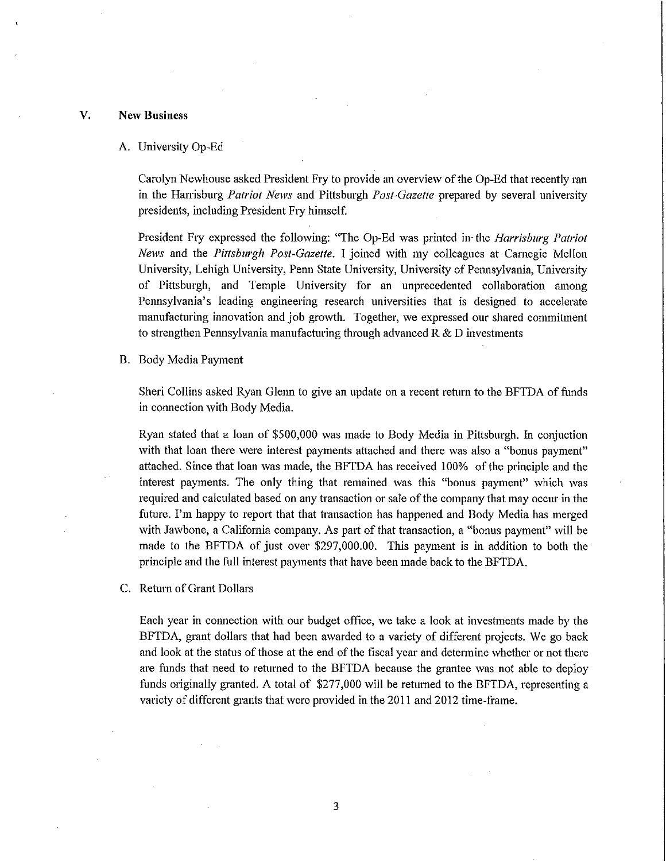### **V. New Business**

#### A. University Op-Ed

Carolyn Newhouse asked President Fry to provide an overview of the Op-Ed that recently ran in the Harrisburg *Patriot News* and Pittsburgh *Post-Gazette* prepared by several university presidents, including President F1y himself.

President Fry expressed the following: "The Op-Ed was printed in the *Harrisburg Patriot News* and the *Pittsburgh Post-Gazette.* I joined with my colleagues at Carnegie Mellon University, Lehigh University, Pem1 State University, University of Pennsylvania, University of Pittsburgh, and Temple University for an unprecedented collaboration among Pennsylvania's leading engineering research universities that is designed to accelerate manufacturing innovation and job growth. Together, we expressed our shared commitment to strengthen Pennsylvania manufacturing through advanced  $R \& D$  investments

#### B. Body Media Payment

Sheri Collins asked Ryan Glenn to give an update on a recent return to the BFTDA of funds in connection with Body Media.

Ryan stated that a loan of \$500,000 was made to Body Media in Pittsburgh. In conjuction with that loan there were interest payments attached and there was also a "bonus payment" attached. Since that loan was made, the BFTDA has received 100% of the principle and the interest payments. The only thing that remained was this "bonus payment" which was required and calculated based on any transaction or sale ofthe company that may occur in the future. I'm happy to report that that transaction has happened and Body Media has merged with Jawbone, a California company. As part of that transaction, a "bonus payment" will be made to the BFTDA of just over [\\$297,000.00](https://297,000.00). This payment is in addition to both the principle and the full interest payments that have been made back to the BFTDA.

C. Return of Grant Dollars

Each year in connection with our budget office, we take a look at investments made by the BFTDA, grant dollars that had been awarded to a variety of different projects. We go back and look at the status of those at the end of the fiscal year and determine whether or not there are funds that need to returned to the BFTDA because the grantee was not able to deploy funds originally granted. A total of \$277,000 will be returned to the BFTDA, representing a variety of different grants that were provided in the 2011 and 2012 time-frame.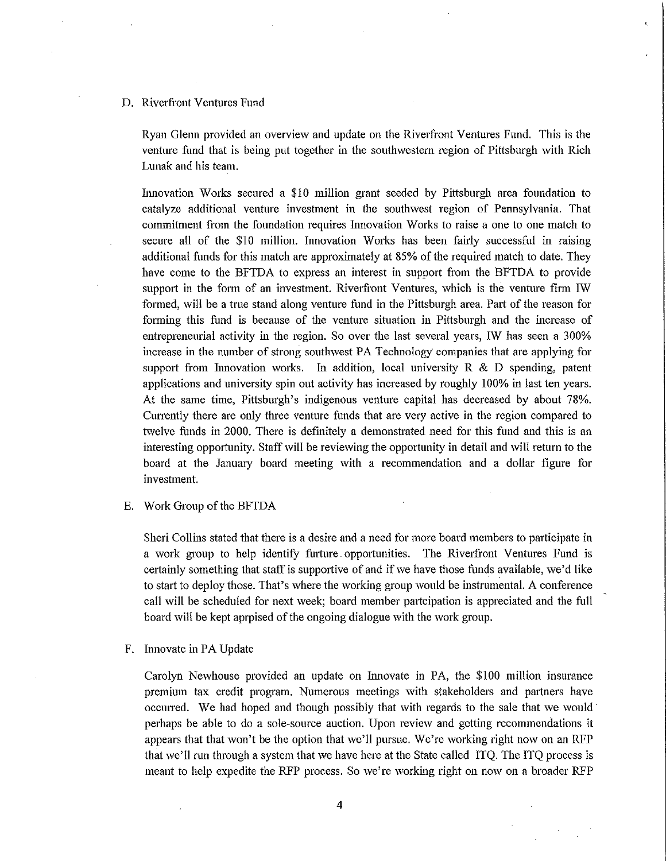## D. Riverfront Ventures Fund

Ryan Glenn provided an overview and update on the Riverfront Ventures Fund. This is the venture fund that is being put together in the southwestern region of Pittsburgh with Rich Lunak and his team.

Innovation Works secured a \$10 million grant seeded by Pittsburgh area foundation to catalyze additional venture investment in the southwest region of Pennsylvania. That commitment from the foundation requires Innovation Works to raise a one to one match to secure all of the \$10 million. Innovation Works has been fairly successful in raising additional funds for this match are approximately at 85% of the required match to date. They have come to the BFTDA to express an interest in support from the BFTDA to provide support in the form of an investment. Riverfront Ventures, which is the venture firm IW formed, will be a true stand along venture fund in the Pittsburgh area. Part of the reason for forming this fund is because of the venture situation in Pittsburgh and the increase of entrepreneurial activity in the region. So over the last several years, IW has seen a 300% increase in the number of strong southwest PA Technology companies that are applying for support from Innovation works. In addition, local university  $R \& D$  spending, patent applications and university spin out activity has increased by roughly I 00% in last ten years. At the same time, Pittsburgh's indigenous venture capital has decreased by about 78%. Currently there are only three venture funds that are very active in the region compared to twelve funds in 2000. There is definitely a demonstrated need for this fund and this is an interesting opportunity. Staff will be reviewing the opportunity in detail and will return to the board at the January board meeting with a recommendation and a dollar figure for investment.

E. Work Group of the BFTDA

Sheri Collins stated that there is a desire and a need for more board members to participate in a work group to help identify furture opportunities. The Riverfront Ventures Fund is certainly something that staff is supportive of and if we have those funds available, we'd like to start to deploy those. That's where the working group would be instrumental. A conference call will be scheduled for next week; board member pmtcipation is appreciated and the full board will be kept aprpised of the ongoing dialogue with the work group.

F. Innovate in PA Update

Carolyn Newhouse provided an update on Innovate in PA, the \$100 million insurance premium tax credit program. Numerous meetings with stakeholders and paitners have occurred. We had hoped and though possibly that with regards to the sale that we would perhaps be able to do a sole-source auction. Upon review and getting recommendations it appears that that won't be the option that we'll pursue. We're working right now on an RFP that we'll run through a system that we have here at the State called ITQ. The ITQ process is meant to help expedite the RFP process. So we're working right on now on a broader RFP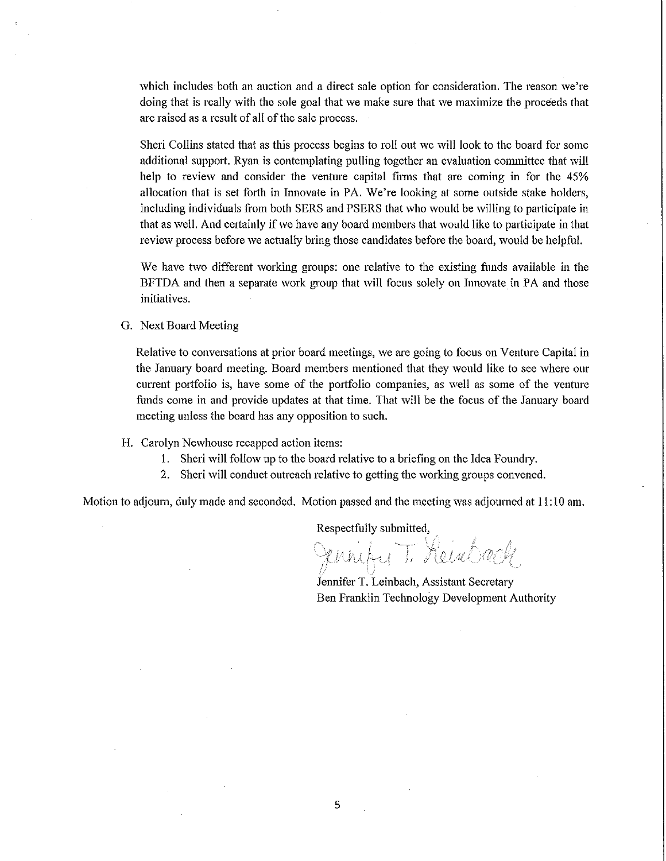which includes both an auction and a direct sale option for consideration. The reason we're doing that is really with the sole goal that we make sure that we maximize the proceeds that are raised as a result of all of the sale process.

Sheri Collins stated that as this process begins to roll out we will look to the board for some additional support. Ryan is contemplating pulling together an evaluation committee that will help to review and consider the venture capital firms that are coming in for the 45% allocation that is set forth in Innovate in PA. We're looking at some outside stake holders, including individuals from both SERS and PSERS that who would be willing to participate in that as well. And certainly if we have any board members that would like to participate in that review process before we actually bring those candidates before the board, would be helpful.

We have two different working groups: one relative to the existing funds available in the BFTDA and then a separate work group that will focus solely on Innovate in PA and those initiatives.

G. Next Board Meeting

Relative to conversations at prior board meetings, we are going to focus on Venture Capital in the January board meeting. Board members mentioned that they would like to see where our current portfolio is, have some of the portfolio companies, as well as some of the venture funds come in and provide updates at that time. That will be the focus of the January board meeting unless the board has any opposition to such.

- H. Carolyn Newhouse recapped action items:
	- 1. Sheri will follow up to the board relative to a briefing on the Idea Foundry.
	- 2. Sheri will conduct outreach relative to getting the working groups convened.

Motion to adjourn, duly made and seconded. Motion passed and the meeting was adjourned at 11: 10 am.

Respectfully submitted,

ennify T. Keinbach

jennifer T. Leinbach, Assistant Secretary Ben Franklin Technology Development Authority